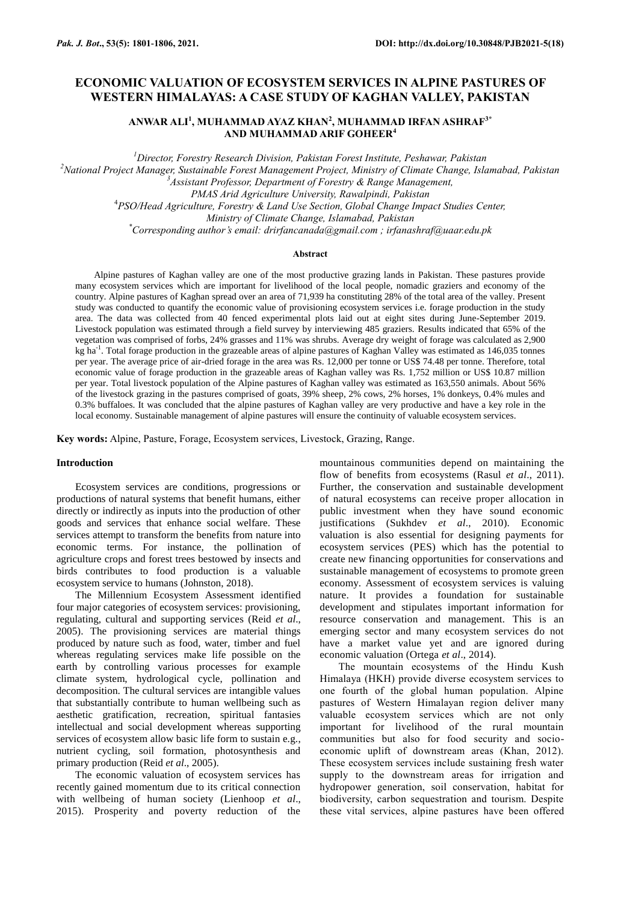# **ECONOMIC VALUATION OF ECOSYSTEM SERVICES IN ALPINE PASTURES OF WESTERN HIMALAYAS: A CASE STUDY OF KAGHAN VALLEY, PAKISTAN**

**ANWAR ALI<sup>1</sup> , MUHAMMAD AYAZ KHAN<sup>2</sup> , MUHAMMAD IRFAN ASHRAF3\* AND MUHAMMAD ARIF GOHEER<sup>4</sup>**

*<sup>1</sup>Director, Forestry Research Division, Pakistan Forest Institute, Peshawar, Pakistan*

*<sup>2</sup>National Project Manager, Sustainable Forest Management Project, Ministry of Climate Change, Islamabad, Pakistan <sup>3</sup>Assistant Professor, Department of Forestry & Range Management,* 

*PMAS Arid Agriculture University, Rawalpindi, Pakistan*

<sup>4</sup>*PSO/Head Agriculture, Forestry & Land Use Section, Global Change Impact Studies Center,* 

*Ministry of Climate Change, Islamabad, Pakistan*

*\*Corresponding author's email[: drirfancanada@gmail.com](mailto:drirfancanada@gmail.com) ; [irfanashraf@uaar.edu.pk](mailto:irfanashraf@uaar.edu.pk)*

### **Abstract**

Alpine pastures of Kaghan valley are one of the most productive grazing lands in Pakistan. These pastures provide many ecosystem services which are important for livelihood of the local people, nomadic graziers and economy of the country. Alpine pastures of Kaghan spread over an area of 71,939 ha constituting 28% of the total area of the valley. Present study was conducted to quantify the economic value of provisioning ecosystem services i.e. forage production in the study area. The data was collected from 40 fenced experimental plots laid out at eight sites during June-September 2019. Livestock population was estimated through a field survey by interviewing 485 graziers. Results indicated that 65% of the vegetation was comprised of forbs, 24% grasses and 11% was shrubs. Average dry weight of forage was calculated as 2,900 kg ha<sup>-1</sup>. Total forage production in the grazeable areas of alpine pastures of Kaghan Valley was estimated as 146,035 tonnes per year. The average price of air-dried forage in the area was Rs. 12,000 per tonne or US\$ 74.48 per tonne. Therefore, total economic value of forage production in the grazeable areas of Kaghan valley was Rs. 1,752 million or US\$ 10.87 million per year. Total livestock population of the Alpine pastures of Kaghan valley was estimated as 163,550 animals. About 56% of the livestock grazing in the pastures comprised of goats, 39% sheep, 2% cows, 2% horses, 1% donkeys, 0.4% mules and 0.3% buffaloes. It was concluded that the alpine pastures of Kaghan valley are very productive and have a key role in the local economy. Sustainable management of alpine pastures will ensure the continuity of valuable ecosystem services.

**Key words:** Alpine, Pasture, Forage, Ecosystem services, Livestock, Grazing, Range.

### **Introduction**

Ecosystem services are conditions, progressions or productions of natural systems that benefit humans, either directly or indirectly as inputs into the production of other goods and services that enhance social welfare. These services attempt to transform the benefits from nature into economic terms. For instance, the pollination of agriculture crops and forest trees bestowed by insects and birds contributes to food production is a valuable ecosystem service to humans (Johnston, 2018).

The Millennium Ecosystem Assessment identified four major categories of ecosystem services: provisioning, regulating, cultural and supporting services (Reid *et al*., 2005). The provisioning services are material things produced by nature such as food, water, timber and fuel whereas regulating services make life possible on the earth by controlling various processes for example climate system, hydrological cycle, pollination and decomposition. The cultural services are intangible values that substantially contribute to human wellbeing such as aesthetic gratification, recreation, spiritual fantasies intellectual and social development whereas supporting services of ecosystem allow basic life form to sustain e.g., nutrient cycling, soil formation, photosynthesis and primary production (Reid *et al*., 2005).

The economic valuation of ecosystem services has recently gained momentum due to its critical connection with wellbeing of human society (Lienhoop *et al*., 2015). Prosperity and poverty reduction of the

mountainous communities depend on maintaining the flow of benefits from ecosystems (Rasul *et al*., 2011). Further, the conservation and sustainable development of natural ecosystems can receive proper allocation in public investment when they have sound economic justifications (Sukhdev *et al*., 2010). Economic valuation is also essential for designing payments for ecosystem services (PES) which has the potential to create new financing opportunities for conservations and sustainable management of ecosystems to promote green economy. Assessment of ecosystem services is valuing nature. It provides a foundation for sustainable development and stipulates important information for resource conservation and management. This is an emerging sector and many ecosystem services do not have a market value yet and are ignored during economic valuation (Ortega *et al*., 2014).

The mountain ecosystems of the Hindu Kush Himalaya (HKH) provide diverse ecosystem services to one fourth of the global human population. Alpine pastures of Western Himalayan region deliver many valuable ecosystem services which are not only important for livelihood of the rural mountain communities but also for food security and socioeconomic uplift of downstream areas (Khan, 2012). These ecosystem services include sustaining fresh water supply to the downstream areas for irrigation and hydropower generation, soil conservation, habitat for biodiversity, carbon sequestration and tourism. Despite these vital services, alpine pastures have been offered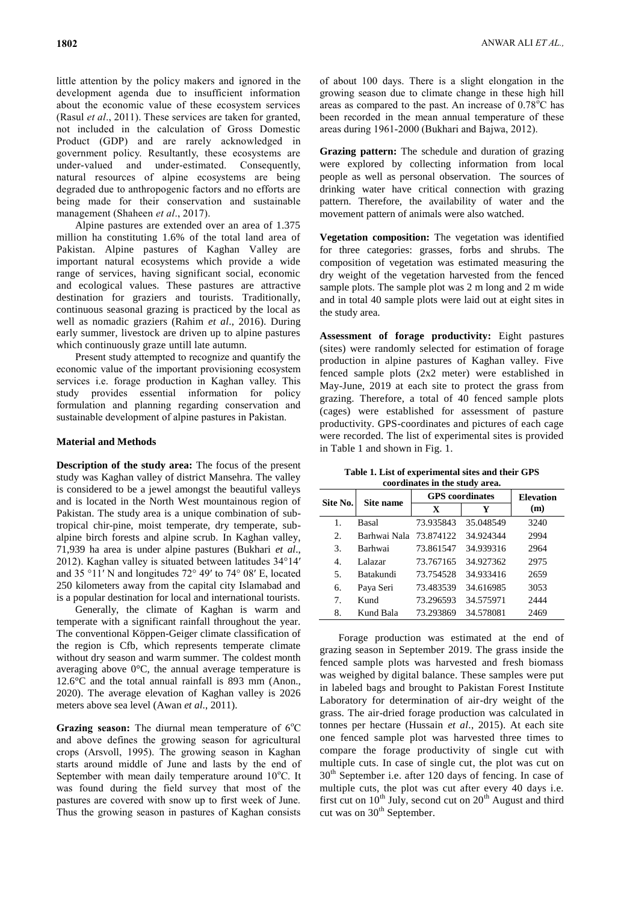little attention by the policy makers and ignored in the development agenda due to insufficient information about the economic value of these ecosystem services (Rasul *et al*., 2011). These services are taken for granted, not included in the calculation of Gross Domestic Product (GDP) and are rarely acknowledged in government policy. Resultantly, these ecosystems are under-valued and under-estimated. Consequently, natural resources of alpine ecosystems are being degraded due to anthropogenic factors and no efforts are being made for their conservation and sustainable management (Shaheen *et al*., 2017).

Alpine pastures are extended over an area of 1.375 million ha constituting 1.6% of the total land area of Pakistan. Alpine pastures of Kaghan Valley are important natural ecosystems which provide a wide range of services, having significant social, economic and ecological values. These pastures are attractive destination for graziers and tourists. Traditionally, continuous seasonal grazing is practiced by the local as well as nomadic graziers (Rahim *et al*., 2016). During early summer, livestock are driven up to alpine pastures which continuously graze untill late autumn.

Present study attempted to recognize and quantify the economic value of the important provisioning ecosystem services i.e. forage production in Kaghan valley. This study provides essential information for policy formulation and planning regarding conservation and sustainable development of alpine pastures in Pakistan.

### **Material and Methods**

**Description of the study area:** The focus of the present study was Kaghan valley of district Mansehra. The valley is considered to be a jewel amongst the beautiful valleys and is located in the North West mountainous region of Pakistan. The study area is a unique combination of subtropical chir-pine, moist temperate, dry temperate, subalpine birch forests and alpine scrub. In Kaghan valley, 71,939 ha area is under alpine pastures (Bukhari *et al*., 2012). Kaghan valley is situated between latitudes 34°14′ and 35 °11′ N and longitudes 72° 49′ to 74° 08′ E, located 250 kilometers away from the capital city Islamabad and is a popular destination for local and international tourists.

Generally, the climate of Kaghan is warm and temperate with a significant rainfall throughout the year. The conventional Köppen-Geiger climate classification of the region is Cfb, which represents temperate climate without dry season and warm summer. The coldest month averaging above  $0^{\circ}$ C, the annual average temperature is 12.6°C and the total annual rainfall is 893 mm (Anon., 2020). The average elevation of Kaghan valley is 2026 meters above sea level (Awan *et al*., 2011).

Grazing season: The diurnal mean temperature of 6°C and above defines the growing season for agricultural crops (Arsvoll, 1995). The growing season in Kaghan starts around middle of June and lasts by the end of September with mean daily temperature around  $10^{\circ}$ C. It was found during the field survey that most of the pastures are covered with snow up to first week of June. Thus the growing season in pastures of Kaghan consists

of about 100 days. There is a slight elongation in the growing season due to climate change in these high hill areas as compared to the past. An increase of  $0.78^{\circ}$ C has been recorded in the mean annual temperature of these areas during 1961-2000 (Bukhari and Bajwa, 2012).

**Grazing pattern:** The schedule and duration of grazing were explored by collecting information from local people as well as personal observation. The sources of drinking water have critical connection with grazing pattern. Therefore, the availability of water and the movement pattern of animals were also watched.

**Vegetation composition:** The vegetation was identified for three categories: grasses, forbs and shrubs. The composition of vegetation was estimated measuring the dry weight of the vegetation harvested from the fenced sample plots. The sample plot was 2 m long and 2 m wide and in total 40 sample plots were laid out at eight sites in the study area.

**Assessment of forage productivity:** Eight pastures (sites) were randomly selected for estimation of forage production in alpine pastures of Kaghan valley. Five fenced sample plots (2x2 meter) were established in May-June, 2019 at each site to protect the grass from grazing. Therefore, a total of 40 fenced sample plots (cages) were established for assessment of pasture productivity. GPS-coordinates and pictures of each cage were recorded. The list of experimental sites is provided in Table 1 and shown in Fig. 1.

**Table 1. List of experimental sites and their GPS coordinates in the study area.**

| Site No. | Site name     | <b>GPS</b> coordinates | <b>Elevation</b> |      |
|----------|---------------|------------------------|------------------|------|
|          |               | X                      | Y                | (m)  |
| 1.       | Basal         | 73.935843              | 35.048549        | 3240 |
| 2.       | Barhwai Nala- | 73.874122              | 34.924344        | 2994 |
| 3.       | Barhwai       | 73.861547              | 34.939316        | 2964 |
| 4.       | Lalazar       | 73.767165              | 34.927362        | 2975 |
| 5.       | Batakundi     | 73.754528              | 34.933416        | 2659 |
| б.       | Paya Seri     | 73.483539              | 34.616985        | 3053 |
| 7.       | Kund          | 73.296593              | 34.575971        | 2444 |
| 8.       | Kund Bala     | 73.293869              | 34.578081        | 2469 |

Forage production was estimated at the end of grazing season in September 2019. The grass inside the fenced sample plots was harvested and fresh biomass was weighed by digital balance. These samples were put in labeled bags and brought to Pakistan Forest Institute Laboratory for determination of air-dry weight of the grass. The air-dried forage production was calculated in tonnes per hectare (Hussain *et al*., 2015). At each site one fenced sample plot was harvested three times to compare the forage productivity of single cut with multiple cuts. In case of single cut, the plot was cut on 30th September i.e. after 120 days of fencing. In case of multiple cuts, the plot was cut after every 40 days i.e. first cut on  $10^{th}$  July, second cut on  $20^{th}$  August and third cut was on  $30<sup>th</sup>$  September.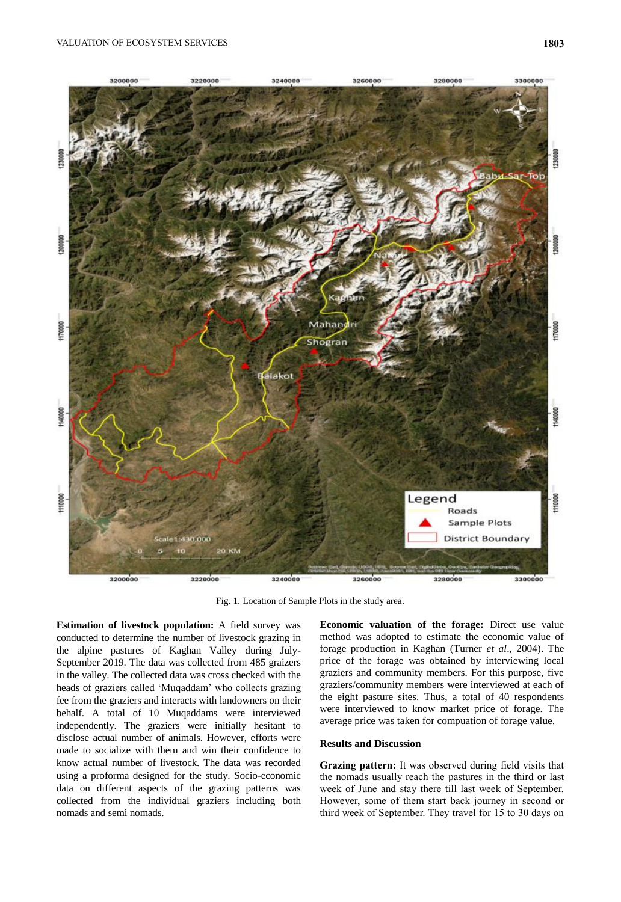

Fig. 1. Location of Sample Plots in the study area.

**Estimation of livestock population:** A field survey was conducted to determine the number of livestock grazing in the alpine pastures of Kaghan Valley during July-September 2019. The data was collected from 485 graizers in the valley. The collected data was cross checked with the heads of graziers called 'Muqaddam' who collects grazing fee from the graziers and interacts with landowners on their behalf. A total of 10 Muqaddams were interviewed independently. The graziers were initially hesitant to disclose actual number of animals. However, efforts were made to socialize with them and win their confidence to know actual number of livestock. The data was recorded using a proforma designed for the study. Socio-economic data on different aspects of the grazing patterns was collected from the individual graziers including both nomads and semi nomads.

**Economic valuation of the forage:** Direct use value method was adopted to estimate the economic value of forage production in Kaghan (Turner *et al*., 2004). The price of the forage was obtained by interviewing local graziers and community members. For this purpose, five graziers/community members were interviewed at each of the eight pasture sites. Thus, a total of 40 respondents were interviewed to know market price of forage. The average price was taken for compuation of forage value.

## **Results and Discussion**

**Grazing pattern:** It was observed during field visits that the nomads usually reach the pastures in the third or last week of June and stay there till last week of September. However, some of them start back journey in second or third week of September. They travel for 15 to 30 days on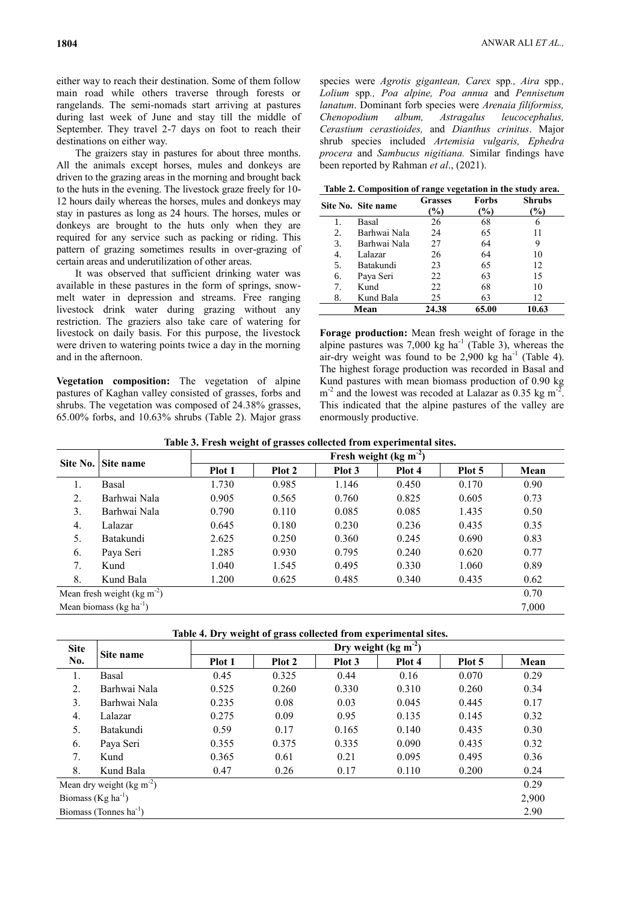either way to reach their destination. Some of them follow main road while others traverse through forests or rangelands. The semi-nomads start arriving at pastures during last week of June and stay till the middle of September. They travel 2-7 days on foot to reach their destinations on either way.

The graizers stay in pastures for about three months. All the animals except horses, mules and donkeys are driven to the grazing areas in the morning and brought back to the huts in the evening. The livestock graze freely for 10- 12 hours daily whereas the horses, mules and donkeys may stay in pastures as long as 24 hours. The horses, mules or donkeys are brought to the huts only when they are required for any service such as packing or riding. This pattern of grazing sometimes results in over-grazing of certain areas and underutilization of other areas.

It was observed that sufficient drinking water was available in these pastures in the form of springs, snowmelt water in depression and streams. Free ranging livestock drink water during grazing without any restriction. The graziers also take care of watering for livestock on daily basis. For this purpose, the livestock were driven to watering points twice a day in the morning and in the afternoon.

**Vegetation composition:** The vegetation of alpine pastures of Kaghan valley consisted of grasses, forbs and shrubs. The vegetation was composed of 24.38% grasses, 65.00% forbs, and 10.63% shrubs (Table 2). Major grass

species were *Agrotis gigantean, Carex* spp*., Aira* spp*., Lolium* spp*., Poa alpine, Poa annua* and *Pennisetum lanatum*. Dominant forb species were *Arenaia filiformiss, Chenopodium album, Astragalus leucocephalus, Cerastium cerastioides,* and *Dianthus crinitus*. Major shrub species included *Artemisia vulgaris, Ephedra procera* and *Sambucus nigitiana.* Similar findings have been reported by Rahman *et al*., (2021).

**Table 2. Composition of range vegetation in the study area.**

|    | Site No. Site name | <b>Grasses</b><br>$\%$ | Forbs<br>$\%$ | <b>Shrubs</b><br>$\%$ |
|----|--------------------|------------------------|---------------|-----------------------|
| 1. | Basal              | 26                     | 68            | 6                     |
| 2. | Barhwai Nala       | 24                     | 65            | 11                    |
| 3. | Barhwai Nala       | 27                     | 64            | 9                     |
| 4. | Lalazar            | 26                     | 64            | 10                    |
| 5. | Batakundi          | 23                     | 65            | 12                    |
| 6. | Paya Seri          | 22                     | 63            | 15                    |
| 7. | Kund               | 22                     | 68            | 10                    |
| 8. | Kund Bala          | 25                     | 63            | 12                    |
|    | Mean               | 24.38                  | 65.00         | 10.63                 |

**Forage production:** Mean fresh weight of forage in the alpine pastures was  $7,000 \text{ kg}$  ha<sup>-1</sup> (Table 3), whereas the air-dry weight was found to be  $2,900$  kg ha<sup>-1</sup> (Table 4). The highest forage production was recorded in Basal and Kund pastures with mean biomass production of 0.90 kg  $m^{-2}$  and the lowest was recoded at Lalazar as 0.35 kg m<sup>-2</sup>. This indicated that the alpine pastures of the valley are enormously productive.

**Table 3. Fresh weight of grasses collected from experimental sites.**

| Site No.                                  | Site name                                      | $\tilde{\phantom{a}}$ | Fresh weight (kg m <sup>-2</sup> ) |        |        |        |      |  |
|-------------------------------------------|------------------------------------------------|-----------------------|------------------------------------|--------|--------|--------|------|--|
|                                           |                                                | Plot 1                | Plot 2                             | Plot 3 | Plot 4 | Plot 5 | Mean |  |
| 1.                                        | Basal                                          | 1.730                 | 0.985                              | 1.146  | 0.450  | 0.170  | 0.90 |  |
| 2.                                        | Barhwai Nala                                   | 0.905                 | 0.565                              | 0.760  | 0.825  | 0.605  | 0.73 |  |
| 3.                                        | Barhwai Nala                                   | 0.790                 | 0.110                              | 0.085  | 0.085  | 1.435  | 0.50 |  |
| 4.                                        | Lalazar                                        | 0.645                 | 0.180                              | 0.230  | 0.236  | 0.435  | 0.35 |  |
| 5.                                        | Batakundi                                      | 2.625                 | 0.250                              | 0.360  | 0.245  | 0.690  | 0.83 |  |
| 6.                                        | Paya Seri                                      | 1.285                 | 0.930                              | 0.795  | 0.240  | 0.620  | 0.77 |  |
| 7.                                        | Kund                                           | 1.040                 | 1.545                              | 0.495  | 0.330  | 1.060  | 0.89 |  |
| 8.                                        | Kund Bala                                      | 1.200                 | 0.625                              | 0.485  | 0.340  | 0.435  | 0.62 |  |
|                                           | Mean fresh weight $(\text{kg m}^{-2})$<br>0.70 |                       |                                    |        |        |        |      |  |
| Mean biomass ( $kg \, ha^{-1}$ )<br>7,000 |                                                |                       |                                    |        |        |        |      |  |

| <b>Site</b> | Site name                            |        | Dry weight (kg m <sup>2</sup> ) |        |        |        |      |  |
|-------------|--------------------------------------|--------|---------------------------------|--------|--------|--------|------|--|
| No.         |                                      | Plot 1 | Plot 2                          | Plot 3 | Plot 4 | Plot 5 | Mean |  |
| 1.          | Basal                                | 0.45   | 0.325                           | 0.44   | 0.16   | 0.070  | 0.29 |  |
| 2.          | Barhwai Nala                         | 0.525  | 0.260                           | 0.330  | 0.310  | 0.260  | 0.34 |  |
| 3.          | Barhwai Nala                         | 0.235  | 0.08                            | 0.03   | 0.045  | 0.445  | 0.17 |  |
| 4.          | Lalazar                              | 0.275  | 0.09                            | 0.95   | 0.135  | 0.145  | 0.32 |  |
| 5.          | Batakundi                            | 0.59   | 0.17                            | 0.165  | 0.140  | 0.435  | 0.30 |  |
| 6.          | Paya Seri                            | 0.355  | 0.375                           | 0.335  | 0.090  | 0.435  | 0.32 |  |
| 7.          | Kund                                 | 0.365  | 0.61                            | 0.21   | 0.095  | 0.495  | 0.36 |  |
| 8.          | Kund Bala                            | 0.47   | 0.26                            | 0.17   | 0.110  | 0.200  | 0.24 |  |
|             | Mean dry weight $(\text{kg m}^{-2})$ |        |                                 |        |        |        | 0.29 |  |
|             | Biomass $(Kg ha^{-1})$<br>2,900      |        |                                 |        |        |        |      |  |
|             | Biomass (Tonnes $ha^{-1}$ )          |        |                                 |        |        |        | 2.90 |  |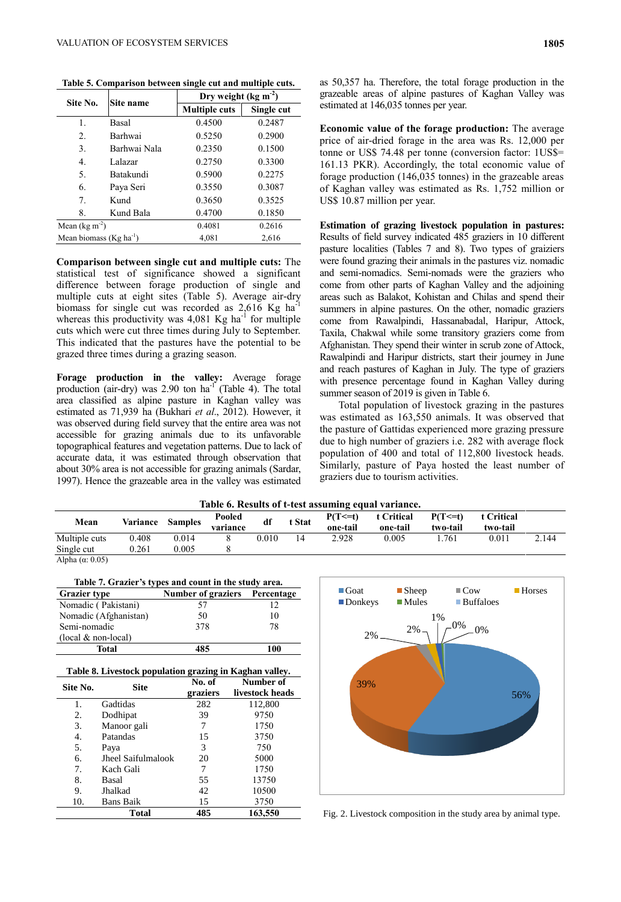| Site No.                    | Site name    | Dry weight ( $\text{kg m}^{-2}$ ) |            |  |  |
|-----------------------------|--------------|-----------------------------------|------------|--|--|
|                             |              | <b>Multiple cuts</b>              | Single cut |  |  |
| 1.                          | Basal        | 0.4500                            | 0.2487     |  |  |
| 2.                          | Barhwai      | 0.5250                            | 0.2900     |  |  |
| 3.                          | Barhwai Nala | 0.2350                            | 0.1500     |  |  |
| 4.                          | Lalazar      | 0.2750                            | 0.3300     |  |  |
| 5.                          | Batakundi    | 0.5900                            | 0.2275     |  |  |
| 6.                          | Paya Seri    | 0.3550                            | 0.3087     |  |  |
| 7.                          | Kund         | 0.3650                            | 0.3525     |  |  |
| 8.                          | Kund Bala    | 0.4700                            | 0.1850     |  |  |
| Mean $(\text{kg m}^{-2})$   |              | 0.4081                            | 0.2616     |  |  |
| Mean biomass $(Kg ha^{-1})$ |              | 4.081                             | 2.616      |  |  |

**Table 5. Comparison between single cut and multiple cuts.**

**Comparison between single cut and multiple cuts:** The statistical test of significance showed a significant difference between forage production of single and multiple cuts at eight sites (Table 5). Average air-dry biomass for single cut was recorded as  $2{,}616$  Kg ha<sup>-1</sup> whereas this productivity was  $4,081$  Kg ha<sup>-1</sup> for multiple cuts which were cut three times during July to September. This indicated that the pastures have the potential to be grazed three times during a grazing season.

**Forage production in the valley:** Average forage production (air-dry) was 2.90 ton  $ha^{-1}$  (Table 4). The total area classified as alpine pasture in Kaghan valley was estimated as 71,939 ha (Bukhari *et al*., 2012). However, it was observed during field survey that the entire area was not accessible for grazing animals due to its unfavorable topographical features and vegetation patterns. Due to lack of accurate data, it was estimated through observation that about 30% area is not accessible for grazing animals (Sardar, 1997). Hence the grazeable area in the valley was estimated

as 50,357 ha. Therefore, the total forage production in the grazeable areas of alpine pastures of Kaghan Valley was estimated at 146,035 tonnes per year.

**Economic value of the forage production:** The average price of air-dried forage in the area was Rs. 12,000 per tonne or US\$ 74.48 per tonne (conversion factor: 1US\$= 161.13 PKR). Accordingly, the total economic value of forage production (146,035 tonnes) in the grazeable areas of Kaghan valley was estimated as Rs. 1,752 million or US\$ 10.87 million per year.

**Estimation of grazing livestock population in pastures:**  Results of field survey indicated 485 graziers in 10 different pasture localities (Tables 7 and 8). Two types of graiziers were found grazing their animals in the pastures viz. nomadic and semi-nomadics. Semi-nomads were the graziers who come from other parts of Kaghan Valley and the adjoining areas such as Balakot, Kohistan and Chilas and spend their summers in alpine pastures. On the other, nomadic graziers come from Rawalpindi, Hassanabadal, Haripur, Attock, Taxila, Chakwal while some transitory graziers come from Afghanistan. They spend their winter in scrub zone of Attock, Rawalpindi and Haripur districts, start their journey in June and reach pastures of Kaghan in July. The type of graziers with presence percentage found in Kaghan Valley during summer season of 2019 is given in Table 6.

Total population of livestock grazing in the pastures was estimated as 163,550 animals. It was observed that the pasture of Gattidas experienced more grazing pressure due to high number of graziers i.e. 282 with average flock population of 400 and total of 112,800 livestock heads. Similarly, pasture of Paya hosted the least number of graziers due to tourism activities.

#### **Table 6. Results of t-test assuming equal variance.**

|               |          |                |                    |           |        | -                        |                        |                          |                        |       |
|---------------|----------|----------------|--------------------|-----------|--------|--------------------------|------------------------|--------------------------|------------------------|-------|
| Mean          | Variance | <b>Samples</b> | Pooled<br>variance | df        | t Stat | $P(T \le t)$<br>one-tail | t Critical<br>one-tail | $P(T \le t)$<br>two-tail | t Critical<br>two-tail |       |
| Multiple cuts | 0.408    | 0.014          |                    | $0.010\,$ | ι4     | 2.928                    | 0.005                  | .761                     | 0.011                  | 2.144 |
| Single cut    | 0.261    | 0.005          |                    |           |        |                          |                        |                          |                        |       |
| .             |          |                |                    |           |        |                          |                        |                          |                        |       |

Alpha ( $\alpha$ : 0.05)

|                     | Table 7. Grazier's types and count in the study area. |  |
|---------------------|-------------------------------------------------------|--|
| <b>Grazier type</b> | Number of graziers Percentage                         |  |

| Total                  | 485 | 100 |
|------------------------|-----|-----|
| $~(local & non-local)$ |     |     |
| Semi-nomadic           | 378 | 78  |
| Nomadic (Afghanistan)  | 50  | 10  |
| Nomadic (Pakistani)    | 57  |     |

| Table 8. Livestock population grazing in Kaghan valley. |                    |                    |                              |  |  |  |
|---------------------------------------------------------|--------------------|--------------------|------------------------------|--|--|--|
| Site No.                                                | <b>Site</b>        | No. of<br>graziers | Number of<br>livestock heads |  |  |  |
| 1.                                                      | Gadtidas           | 282                | 112,800                      |  |  |  |
| 2.                                                      | Dodhipat           | 39                 | 9750                         |  |  |  |
| 3.                                                      | Manoor gali        | 7                  | 1750                         |  |  |  |
| 4.                                                      | Patandas           | 15                 | 3750                         |  |  |  |
| 5.                                                      | Paya               | 3                  | 750                          |  |  |  |
| б.                                                      | Jheel Saifulmalook | 20                 | 5000                         |  |  |  |
| 7.                                                      | Kach Gali          | 7                  | 1750                         |  |  |  |
| 8.                                                      | Basal              | 55                 | 13750                        |  |  |  |
| 9.                                                      | Jhalkad            | 42                 | 10500                        |  |  |  |
| 10.                                                     | <b>Bans Baik</b>   | 15                 | 3750                         |  |  |  |
|                                                         | Total              | 485                | 163,550                      |  |  |  |
|                                                         |                    |                    |                              |  |  |  |



Fig. 2. Livestock composition in the study area by animal type.